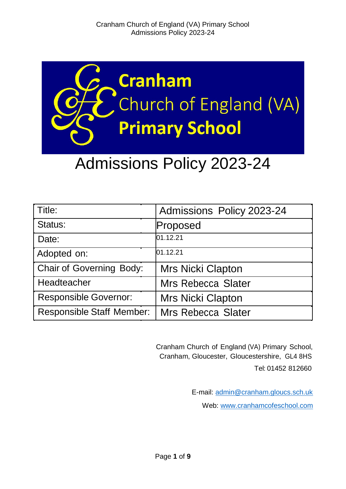

# Admissions Policy 2023-24

| Title:                           | Admissions Policy 2023-24 |
|----------------------------------|---------------------------|
| Status:                          | Proposed                  |
| Date:                            | 01.12.21                  |
| Adopted on:                      | 01.12.21                  |
| <b>Chair of Governing Body:</b>  | <b>Mrs Nicki Clapton</b>  |
| Headteacher                      | <b>Mrs Rebecca Slater</b> |
| <b>Responsible Governor:</b>     | <b>Mrs Nicki Clapton</b>  |
| <b>Responsible Staff Member:</b> | <b>Mrs Rebecca Slater</b> |

Cranham Church of England (VA) Primary School, Cranham, Gloucester, Gloucestershire, GL4 8HS Tel: 01452 812660

> E-mail: [admin@cranham.gloucs.sch.uk](mailto:admin@cranham.gloucs.sch.uk) Web: [www.cranhamcofeschool.com](http://www.cranhamcofeschool.com/)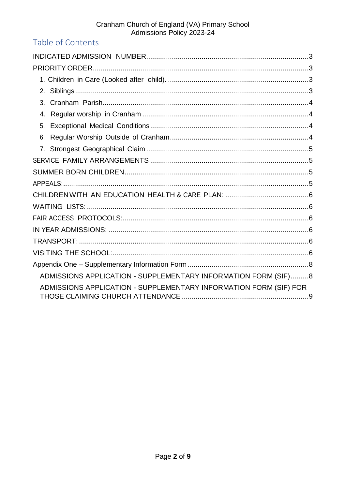# Cranham Church of England (VA) Primary School<br>Admissions Policy 2023-24

# Table of Contents

| 3.                                                                |  |
|-------------------------------------------------------------------|--|
| 4.                                                                |  |
| 5.                                                                |  |
| 6.                                                                |  |
|                                                                   |  |
|                                                                   |  |
|                                                                   |  |
|                                                                   |  |
|                                                                   |  |
|                                                                   |  |
|                                                                   |  |
|                                                                   |  |
|                                                                   |  |
|                                                                   |  |
|                                                                   |  |
| ADMISSIONS APPLICATION - SUPPLEMENTARY INFORMATION FORM (SIF)8    |  |
| ADMISSIONS APPLICATION - SUPPLEMENTARY INFORMATION FORM (SIF) FOR |  |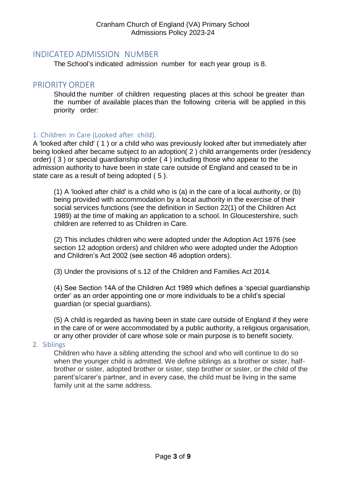# <span id="page-2-0"></span>INDICATED ADMISSION NUMBER

The School's indicated admission number for each year group is 8.

# <span id="page-2-1"></span>PRIORITY ORDER

Should the number of children requesting places at this school be greater than the number of available places than the following criteria will be applied in this priority order:

#### <span id="page-2-2"></span>1. Children in Care (Looked after child).

A 'looked after child' ( 1 ) or a child who was previously looked after but immediately after being looked after became subject to an adoption( 2 ) child arrangements order (residency order) ( 3 ) or special guardianship order ( 4 ) including those who appear to the admission authority to have been in state care outside of England and ceased to be in state care as a result of being adopted ( 5 ).

(1) A 'looked after child' is a child who is (a) in the care of a local authority, or (b) being provided with accommodation by a local authority in the exercise of their social services functions (see the definition in Section 22(1) of the Children Act 1989) at the time of making an application to a school. In Gloucestershire, such children are referred to as Children in Care.

(2) This includes children who were adopted under the Adoption Act 1976 (see section 12 adoption orders) and children who were adopted under the Adoption and Children's Act 2002 (see section 46 adoption orders).

(3) Under the provisions of s.12 of the Children and Families Act 2014.

(4) See Section 14A of the Children Act 1989 which defines a 'special guardianship order' as an order appointing one or more individuals to be a child's special guardian (or special guardians).

(5) A child is regarded as having been in state care outside of England if they were in the care of or were accommodated by a public authority, a religious organisation, or any other provider of care whose sole or main purpose is to benefit society.

<span id="page-2-3"></span>2. Siblings

Children who have a sibling attending the school and who will continue to do so when the younger child is admitted. We define siblings as a brother or sister, halfbrother or sister, adopted brother or sister, step brother or sister, or the child of the parent's/carer's partner, and in every case, the child must be living in the same family unit at the same address.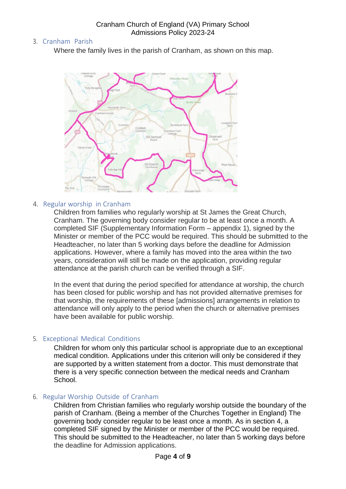# <span id="page-3-0"></span>3. Cranham Parish

Where the family lives in the parish of Cranham, as shown on this map.



#### <span id="page-3-1"></span>4. Regular worship in Cranham

Children from families who regularly worship at St James the Great Church, Cranham. The governing body consider regular to be at least once a month. A completed SIF (Supplementary Information Form – appendix 1), signed by the Minister or member of the PCC would be required. This should be submitted to the Headteacher, no later than 5 working days before the deadline for Admission applications. However, where a family has moved into the area within the two years, consideration will still be made on the application, providing regular attendance at the parish church can be verified through a SIF.

In the event that during the period specified for attendance at worship, the church has been closed for public worship and has not provided alternative premises for that worship, the requirements of these [admissions] arrangements in relation to attendance will only apply to the period when the church or alternative premises have been available for public worship.

# <span id="page-3-2"></span>5. Exceptional Medical Conditions

Children for whom only this particular school is appropriate due to an exceptional medical condition. Applications under this criterion will only be considered if they are supported by a written statement from a doctor. This must demonstrate that there is a very specific connection between the medical needs and Cranham School.

# <span id="page-3-3"></span>6. Regular Worship Outside of Cranham

Children from Christian families who regularly worship outside the boundary of the parish of Cranham. (Being a member of the Churches Together in England) The governing body consider regular to be least once a month. As in section 4, a completed SIF signed by the Minister or member of the PCC would be required. This should be submitted to the Headteacher, no later than 5 working days before the deadline for Admission applications.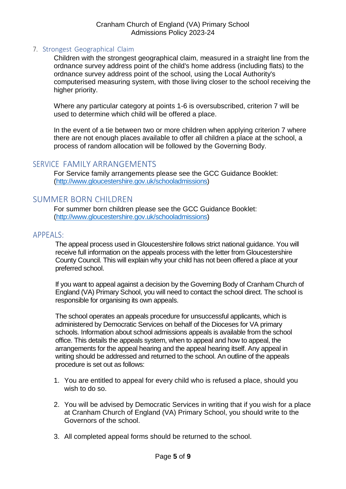#### <span id="page-4-0"></span>7. Strongest Geographical Claim

Children with the strongest geographical claim, measured in a straight line from the ordnance survey address point of the child's home address (including flats) to the ordnance survey address point of the school, using the Local Authority's computerised measuring system, with those living closer to the school receiving the higher priority.

Where any particular category at points 1-6 is oversubscribed, criterion 7 will be used to determine which child will be offered a place.

In the event of a tie between two or more children when applying criterion 7 where there are not enough places available to offer all children a place at the school, a process of random allocation will be followed by the Governing Body.

# <span id="page-4-1"></span>SERVICE FAMILY ARRANGEMENTS

For Service family arrangements please see the GCC Guidance Booklet: [\(http://www.gloucestershire.gov.uk/schooladmissions\)](http://www.gloucestershire.gov.uk/schooladmissions)

# <span id="page-4-2"></span>SUMMER BORN CHILDREN

For summer born children please see the GCC Guidance Booklet: [\(http://www.gloucestershire.gov.uk/schooladmissions\)](http://www.gloucestershire.gov.uk/schooladmissions)

#### <span id="page-4-3"></span>APPEALS:

The appeal process used in Gloucestershire follows strict national guidance. You will receive full information on the appeals process with the letter from Gloucestershire County Council. This will explain why your child has not been offered a place at your preferred school.

If you want to appeal against a decision by the Governing Body of Cranham Church of England (VA) Primary School, you will need to contact the school direct. The school is responsible for organising its own appeals.

The school operates an appeals procedure for unsuccessful applicants, which is administered by Democratic Services on behalf of the Dioceses for VA primary schools. Information about school admissions appeals is available from the school office. This details the appeals system, when to appeal and how to appeal, the arrangements for the appeal hearing and the appeal hearing itself. Any appeal in writing should be addressed and returned to the school. An outline of the appeals procedure is set out as follows:

- 1. You are entitled to appeal for every child who is refused a place, should you wish to do so.
- 2. You will be advised by Democratic Services in writing that if you wish for a place at Cranham Church of England (VA) Primary School, you should write to the Governors of the school.
- 3. All completed appeal forms should be returned to the school.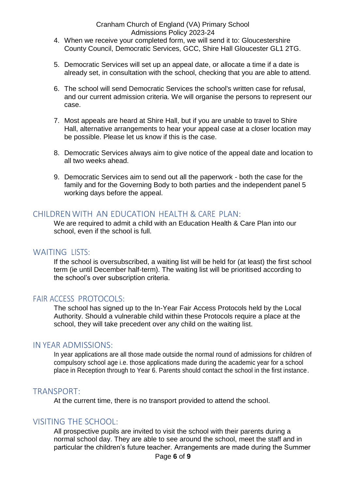#### Cranham Church of England (VA) Primary School Admissions Policy 2023-24

- 4. When we receive your completed form, we will send it to: Gloucestershire County Council, Democratic Services, GCC, Shire Hall Gloucester GL1 2TG.
- 5. Democratic Services will set up an appeal date, or allocate a time if a date is already set, in consultation with the school, checking that you are able to attend.
- 6. The school will send Democratic Services the school's written case for refusal, and our current admission criteria. We will organise the persons to represent our case.
- 7. Most appeals are heard at Shire Hall, but if you are unable to travel to Shire Hall, alternative arrangements to hear your appeal case at a closer location may be possible. Please let us know if this is the case.
- 8. Democratic Services always aim to give notice of the appeal date and location to all two weeks ahead.
- 9. Democratic Services aim to send out all the paperwork both the case for the family and for the Governing Body to both parties and the independent panel 5 working days before the appeal.

# <span id="page-5-0"></span>CHILDREN WITH AN EDUCATION HEALTH & CARE PLAN:

We are required to admit a child with an Education Health & Care Plan into our school, even if the school is full.

# <span id="page-5-1"></span>WAITING LISTS:

If the school is oversubscribed, a waiting list will be held for (at least) the first school term (ie until December half-term). The waiting list will be prioritised according to the school's over subscription criteria.

# <span id="page-5-2"></span>FAIR ACCESS PROTOCOLS:

The school has signed up to the In-Year Fair Access Protocols held by the Local Authority. Should a vulnerable child within these Protocols require a place at the school, they will take precedent over any child on the waiting list.

#### <span id="page-5-3"></span>IN YEAR ADMISSIONS:

In year applications are all those made outside the normal round of admissions for children of compulsory school age i.e. those applications made during the academic year for a school place in Reception through to Year 6. Parents should contact the school in the first instance.

#### <span id="page-5-4"></span>TRANSPORT:

At the current time, there is no transport provided to attend the school.

# <span id="page-5-5"></span>VISITING THE SCHOOL:

All prospective pupils are invited to visit the school with their parents during a normal school day. They are able to see around the school, meet the staff and in particular the children's future teacher. Arrangements are made during the Summer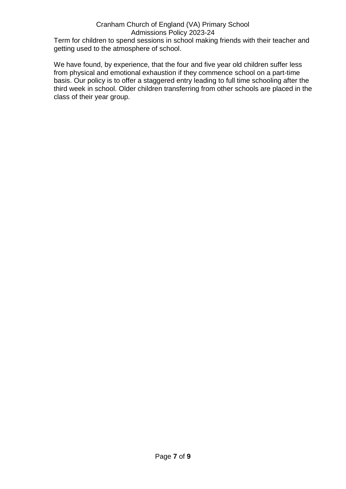# Cranham Church of England (VA) Primary School Admissions Policy 2023-24

Term for children to spend sessions in school making friends with their teacher and getting used to the atmosphere of school.

We have found, by experience, that the four and five year old children suffer less from physical and emotional exhaustion if they commence school on a part-time basis. Our policy is to offer a staggered entry leading to full time schooling after the third week in school. Older children transferring from other schools are placed in the class of their year group.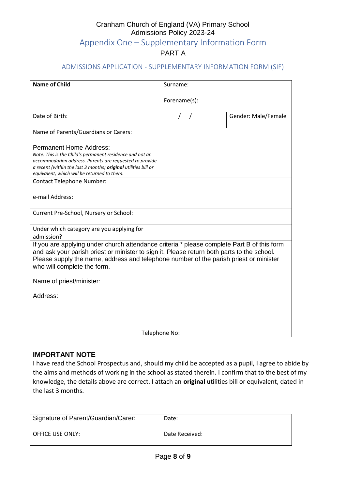# Cranham Church of England (VA) Primary School Admissions Policy 2023-24 Appendix One – Supplementary Information Form PART A

#### <span id="page-7-0"></span>ADMISSIONS APPLICATION - SUPPLEMENTARY INFORMATION FORM (SIF)

<span id="page-7-1"></span>

| <b>Name of Child</b>                                                                                                                                                                                                                                                                                             | Surname:     |                     |  |  |
|------------------------------------------------------------------------------------------------------------------------------------------------------------------------------------------------------------------------------------------------------------------------------------------------------------------|--------------|---------------------|--|--|
|                                                                                                                                                                                                                                                                                                                  | Forename(s): |                     |  |  |
| Date of Birth:                                                                                                                                                                                                                                                                                                   |              | Gender: Male/Female |  |  |
| Name of Parents/Guardians or Carers:                                                                                                                                                                                                                                                                             |              |                     |  |  |
| <b>Permanent Home Address:</b><br>Note: This is the Child's permanent residence and not an<br>accommodation address. Parents are requested to provide<br>a recent (within the last 3 months) original utilities bill or<br>equivalent, which will be returned to them.<br><b>Contact Telephone Number:</b>       |              |                     |  |  |
| e-mail Address:                                                                                                                                                                                                                                                                                                  |              |                     |  |  |
| Current Pre-School, Nursery or School:                                                                                                                                                                                                                                                                           |              |                     |  |  |
| Under which category are you applying for<br>admission?                                                                                                                                                                                                                                                          |              |                     |  |  |
| If you are applying under church attendance criteria * please complete Part B of this form<br>and ask your parish priest or minister to sign it. Please return both parts to the school.<br>Please supply the name, address and telephone number of the parish priest or minister<br>who will complete the form. |              |                     |  |  |
| Name of priest/minister:                                                                                                                                                                                                                                                                                         |              |                     |  |  |
| Address:                                                                                                                                                                                                                                                                                                         |              |                     |  |  |
|                                                                                                                                                                                                                                                                                                                  |              |                     |  |  |
| Telephone No:                                                                                                                                                                                                                                                                                                    |              |                     |  |  |

#### **IMPORTANT NOTE**

I have read the School Prospectus and, should my child be accepted as a pupil, I agree to abide by the aims and methods of working in the school as stated therein. I confirm that to the best of my knowledge, the details above are correct. I attach an **original** utilities bill or equivalent, dated in the last 3 months.

| Signature of Parent/Guardian/Carer: | Date:          |
|-------------------------------------|----------------|
| <b>OFFICE USE ONLY:</b>             | Date Received: |